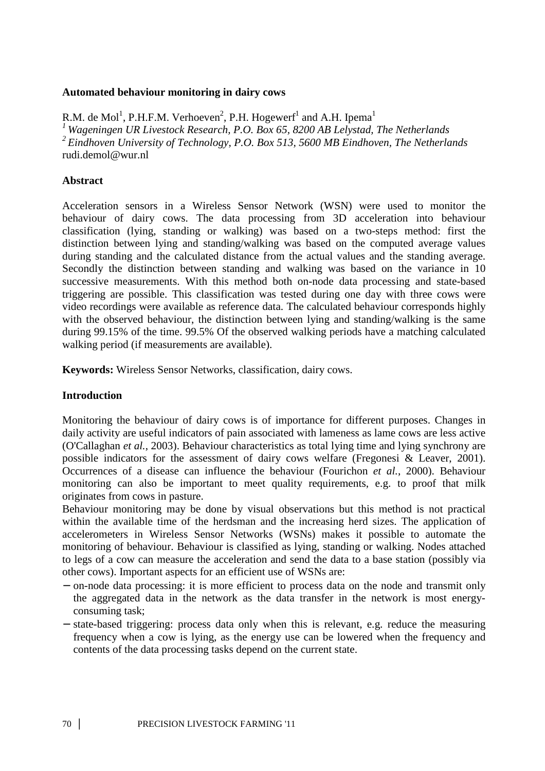## **Automated behaviour monitoring in dairy cows**

R.M. de Mol<sup>1</sup>, P.H.F.M. Verhoeven<sup>2</sup>, P.H. Hogewerf<sup>1</sup> and A.H. Ipema<sup>1</sup> *<sup>1</sup>Wageningen UR Livestock Research, P.O. Box 65, 8200 AB Lelystad, The Netherlands <sup>2</sup>Eindhoven University of Technology, P.O. Box 513, 5600 MB Eindhoven, The Netherlands*  rudi.demol@wur.nl

## **Abstract**

Acceleration sensors in a Wireless Sensor Network (WSN) were used to monitor the behaviour of dairy cows. The data processing from 3D acceleration into behaviour classification (lying, standing or walking) was based on a two-steps method: first the distinction between lying and standing/walking was based on the computed average values during standing and the calculated distance from the actual values and the standing average. Secondly the distinction between standing and walking was based on the variance in 10 successive measurements. With this method both on-node data processing and state-based triggering are possible. This classification was tested during one day with three cows were video recordings were available as reference data. The calculated behaviour corresponds highly with the observed behaviour, the distinction between lying and standing/walking is the same during 99.15% of the time. 99.5% Of the observed walking periods have a matching calculated walking period (if measurements are available).

**Keywords:** Wireless Sensor Networks, classification, dairy cows.

# **Introduction**

Monitoring the behaviour of dairy cows is of importance for different purposes. Changes in daily activity are useful indicators of pain associated with lameness as lame cows are less active (O'Callaghan *et al.*, 2003). Behaviour characteristics as total lying time and lying synchrony are possible indicators for the assessment of dairy cows welfare (Fregonesi & Leaver, 2001). Occurrences of a disease can influence the behaviour (Fourichon *et al.*, 2000). Behaviour monitoring can also be important to meet quality requirements, e.g. to proof that milk originates from cows in pasture.

Behaviour monitoring may be done by visual observations but this method is not practical within the available time of the herdsman and the increasing herd sizes. The application of accelerometers in Wireless Sensor Networks (WSNs) makes it possible to automate the monitoring of behaviour. Behaviour is classified as lying, standing or walking. Nodes attached to legs of a cow can measure the acceleration and send the data to a base station (possibly via other cows). Important aspects for an efficient use of WSNs are:

- − on-node data processing: it is more efficient to process data on the node and transmit only the aggregated data in the network as the data transfer in the network is most energyconsuming task;
- − state-based triggering: process data only when this is relevant, e.g. reduce the measuring frequency when a cow is lying, as the energy use can be lowered when the frequency and contents of the data processing tasks depend on the current state.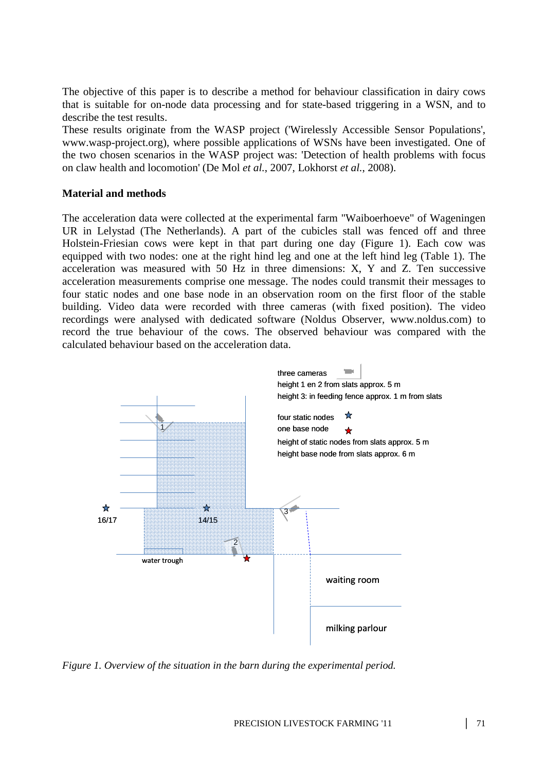The objective of this paper is to describe a method for behaviour classification in dairy cows that is suitable for on-node data processing and for state-based triggering in a WSN, and to describe the test results.

These results originate from the WASP project ('Wirelessly Accessible Sensor Populations', www.wasp-project.org), where possible applications of WSNs have been investigated. One of the two chosen scenarios in the WASP project was: 'Detection of health problems with focus on claw health and locomotion' (De Mol *et al.*, 2007, Lokhorst *et al.*, 2008).

## **Material and methods**

The acceleration data were collected at the experimental farm "Waiboerhoeve" of Wageningen UR in Lelystad (The Netherlands). A part of the cubicles stall was fenced off and three Holstein-Friesian cows were kept in that part during one day (Figure 1). Each cow was equipped with two nodes: one at the right hind leg and one at the left hind leg (Table 1). The acceleration was measured with 50 Hz in three dimensions: X, Y and Z. Ten successive acceleration measurements comprise one message. The nodes could transmit their messages to four static nodes and one base node in an observation room on the first floor of the stable building. Video data were recorded with three cameras (with fixed position). The video recordings were analysed with dedicated software (Noldus Observer, www.noldus.com) to record the true behaviour of the cows. The observed behaviour was compared with the calculated behaviour based on the acceleration data.



*Figure 1. Overview of the situation in the barn during the experimental period.*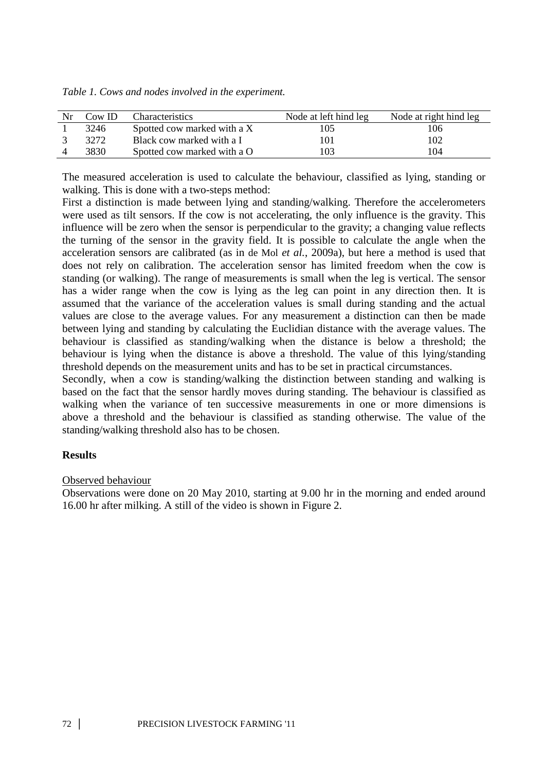| Table 1. Cows and nodes involved in the experiment. |  |  |
|-----------------------------------------------------|--|--|
|                                                     |  |  |

| Nr | $\text{Cow ID}$ | <b>Characteristics</b>      | Node at left hind leg | Node at right hind leg |
|----|-----------------|-----------------------------|-----------------------|------------------------|
|    | 3246            | Spotted cow marked with a X | 105                   | 106                    |
|    | 32.72           | Black cow marked with a I   | 101                   | 102                    |
|    | 3830.           | Spotted cow marked with a O | 103                   | 104                    |

The measured acceleration is used to calculate the behaviour, classified as lying, standing or walking. This is done with a two-steps method:

First a distinction is made between lying and standing/walking. Therefore the accelerometers were used as tilt sensors. If the cow is not accelerating, the only influence is the gravity. This influence will be zero when the sensor is perpendicular to the gravity; a changing value reflects the turning of the sensor in the gravity field. It is possible to calculate the angle when the acceleration sensors are calibrated (as in de Mol *et al.*, 2009a), but here a method is used that does not rely on calibration. The acceleration sensor has limited freedom when the cow is standing (or walking). The range of measurements is small when the leg is vertical. The sensor has a wider range when the cow is lying as the leg can point in any direction then. It is assumed that the variance of the acceleration values is small during standing and the actual values are close to the average values. For any measurement a distinction can then be made between lying and standing by calculating the Euclidian distance with the average values. The behaviour is classified as standing/walking when the distance is below a threshold; the behaviour is lying when the distance is above a threshold. The value of this lying/standing threshold depends on the measurement units and has to be set in practical circumstances.

Secondly, when a cow is standing/walking the distinction between standing and walking is based on the fact that the sensor hardly moves during standing. The behaviour is classified as walking when the variance of ten successive measurements in one or more dimensions is above a threshold and the behaviour is classified as standing otherwise. The value of the standing/walking threshold also has to be chosen.

# **Results**

# Observed behaviour

Observations were done on 20 May 2010, starting at 9.00 hr in the morning and ended around 16.00 hr after milking. A still of the video is shown in Figure 2.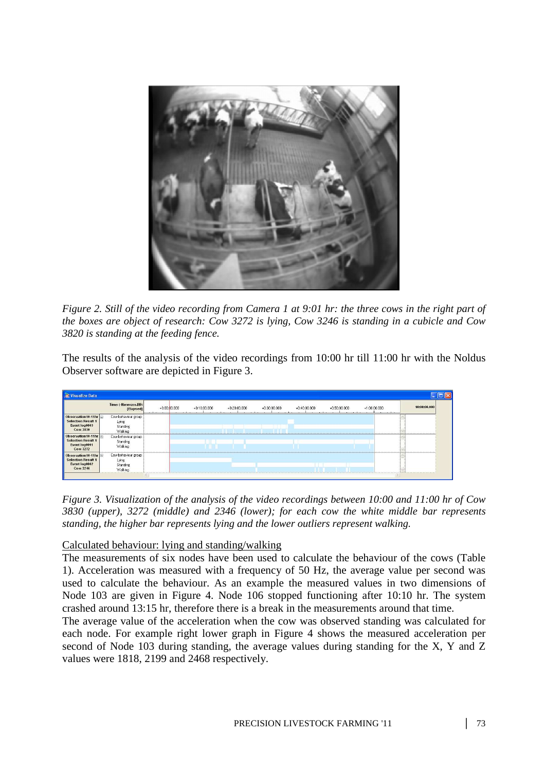

*Figure 2. Still of the video recording from Camera 1 at 9:01 hr: the three cows in the right part of the boxes are object of research: Cow 3272 is lying, Cow 3246 is standing in a cubicle and Cow 3820 is standing at the feeding fence.* 

The results of the analysis of the video recordings from 10:00 hr till 11:00 hr with the Noldus Observer software are depicted in Figure 3.

|                                                                               | Time (-H:mm:ss.DD)                                  |                |                |                |                |                |                |                |              |
|-------------------------------------------------------------------------------|-----------------------------------------------------|----------------|----------------|----------------|----------------|----------------|----------------|----------------|--------------|
|                                                                               | [Elapsed]                                           | $+0.00,00.000$ | $+0.10.00.000$ | $+0.20.00.000$ | $+0.30:00.000$ | $+0.40:00.000$ | $+0.50:00.000$ | $+1:00:00.000$ | 10:00:00.000 |
| Observation 10-11hr<br><b>Selection Result 1</b><br>Event log0003<br>Cow 3830 | Cow behaviour group<br>Lying<br>Standing<br>Walking |                |                |                |                |                |                |                |              |
| Observation10-11hr<br><b>Selection Result 1</b><br>Event log0001<br>Cow 3272  | Cow behaviour group<br>Standing<br>Walking          |                |                |                |                |                |                |                |              |
| Observation10-11hr<br><b>Selection Result 1</b><br>Event log0002<br>Cow 3246  | Cow behaviour group<br>Lying<br>Standing<br>Walking |                |                |                |                |                |                |                |              |

*Figure 3. Visualization of the analysis of the video recordings between 10:00 and 11:00 hr of Cow 3830 (upper), 3272 (middle) and 2346 (lower); for each cow the white middle bar represents standing, the higher bar represents lying and the lower outliers represent walking.* 

# Calculated behaviour: lying and standing/walking

The measurements of six nodes have been used to calculate the behaviour of the cows (Table 1). Acceleration was measured with a frequency of 50 Hz, the average value per second was used to calculate the behaviour. As an example the measured values in two dimensions of Node 103 are given in Figure 4. Node 106 stopped functioning after 10:10 hr. The system crashed around 13:15 hr, therefore there is a break in the measurements around that time.

The average value of the acceleration when the cow was observed standing was calculated for each node. For example right lower graph in Figure 4 shows the measured acceleration per second of Node 103 during standing, the average values during standing for the X, Y and Z values were 1818, 2199 and 2468 respectively.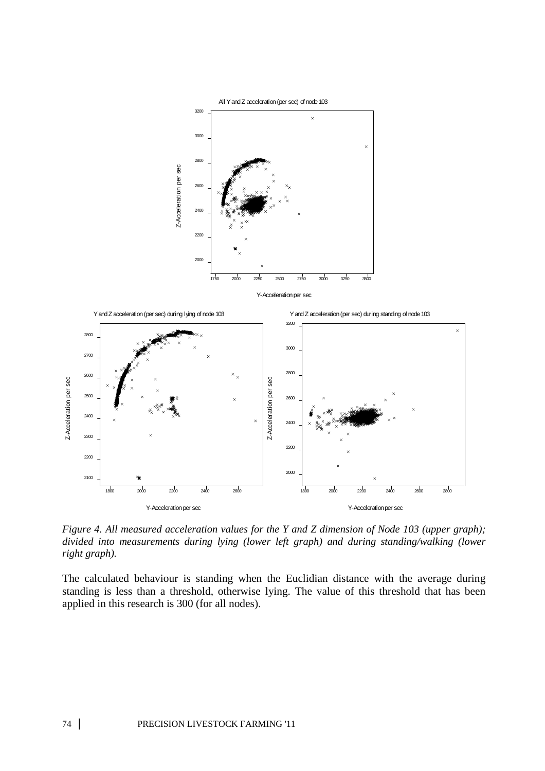

*Figure 4. All measured acceleration values for the Y and Z dimension of Node 103 (upper graph); divided into measurements during lying (lower left graph) and during standing/walking (lower right graph).* 

The calculated behaviour is standing when the Euclidian distance with the average during standing is less than a threshold, otherwise lying. The value of this threshold that has been applied in this research is 300 (for all nodes).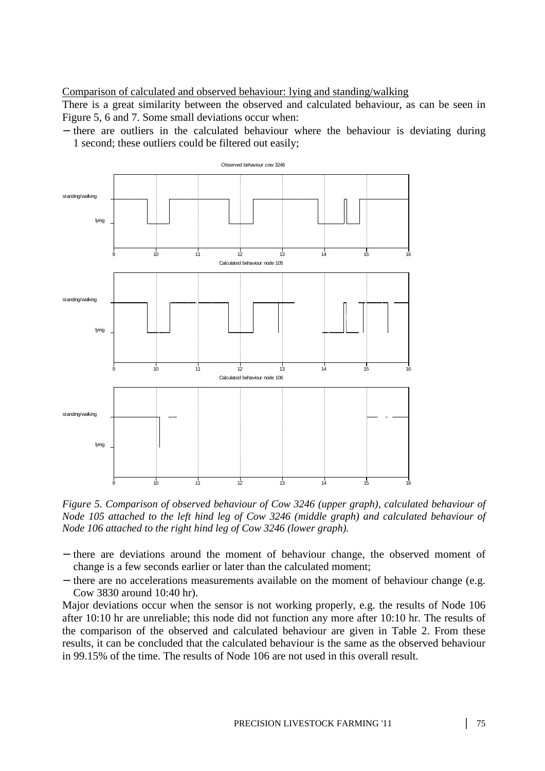Comparison of calculated and observed behaviour: lying and standing/walking

There is a great similarity between the observed and calculated behaviour, as can be seen in Figure 5, 6 and 7. Some small deviations occur when:

− there are outliers in the calculated behaviour where the behaviour is deviating during 1 second; these outliers could be filtered out easily;



*Figure 5. Comparison of observed behaviour of Cow 3246 (upper graph), calculated behaviour of Node 105 attached to the left hind leg of Cow 3246 (middle graph) and calculated behaviour of Node 106 attached to the right hind leg of Cow 3246 (lower graph).* 

- − there are deviations around the moment of behaviour change, the observed moment of change is a few seconds earlier or later than the calculated moment;
- − there are no accelerations measurements available on the moment of behaviour change (e.g. Cow 3830 around 10:40 hr).

Major deviations occur when the sensor is not working properly, e.g. the results of Node 106 after 10:10 hr are unreliable; this node did not function any more after 10:10 hr. The results of the comparison of the observed and calculated behaviour are given in Table 2. From these results, it can be concluded that the calculated behaviour is the same as the observed behaviour in 99.15% of the time. The results of Node 106 are not used in this overall result.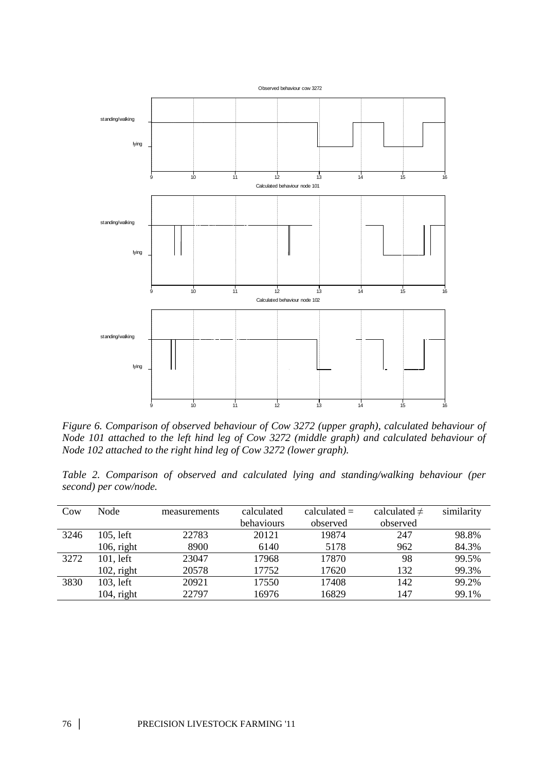

*Figure 6. Comparison of observed behaviour of Cow 3272 (upper graph), calculated behaviour of Node 101 attached to the left hind leg of Cow 3272 (middle graph) and calculated behaviour of Node 102 attached to the right hind leg of Cow 3272 (lower graph).* 

*Table 2. Comparison of observed and calculated lying and standing/walking behaviour (per second) per cow/node.* 

| Cow  | Node          | measurements | calculated | calculated $=$ | calculated $\neq$ | similarity |
|------|---------------|--------------|------------|----------------|-------------------|------------|
|      |               |              | behaviours | observed       | observed          |            |
| 3246 | 105, left     | 22783        | 20121      | 19874          | 247               | 98.8%      |
|      | $106$ , right | 8900         | 6140       | 5178           | 962               | 84.3%      |
| 3272 | 101, left     | 23047        | 17968      | 17870          | 98                | 99.5%      |
|      | $102$ , right | 20578        | 17752      | 17620          | 132               | 99.3%      |
| 3830 | 103, left     | 20921        | 17550      | 17408          | 142               | 99.2%      |
|      | $104$ , right | 22797        | 16976      | 16829          | 147               | 99.1%      |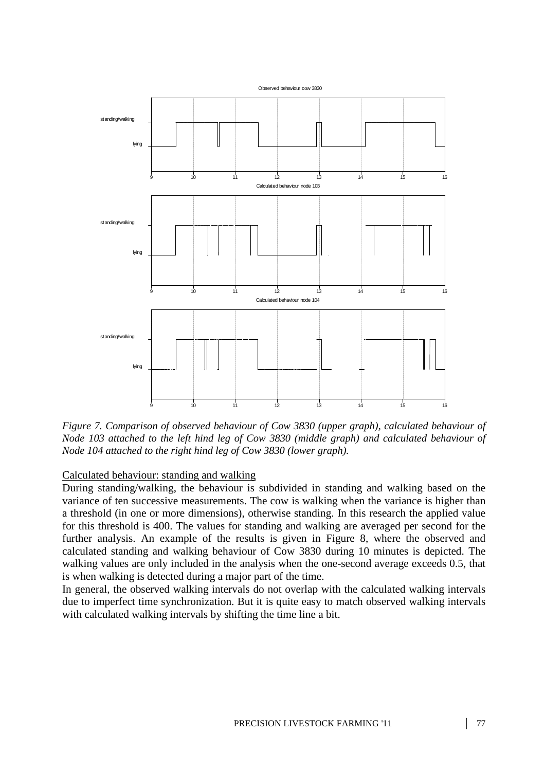

*Figure 7. Comparison of observed behaviour of Cow 3830 (upper graph), calculated behaviour of Node 103 attached to the left hind leg of Cow 3830 (middle graph) and calculated behaviour of Node 104 attached to the right hind leg of Cow 3830 (lower graph).* 

# Calculated behaviour: standing and walking

During standing/walking, the behaviour is subdivided in standing and walking based on the variance of ten successive measurements. The cow is walking when the variance is higher than a threshold (in one or more dimensions), otherwise standing. In this research the applied value for this threshold is 400. The values for standing and walking are averaged per second for the further analysis. An example of the results is given in Figure 8, where the observed and calculated standing and walking behaviour of Cow 3830 during 10 minutes is depicted. The walking values are only included in the analysis when the one-second average exceeds 0.5, that is when walking is detected during a major part of the time.

In general, the observed walking intervals do not overlap with the calculated walking intervals due to imperfect time synchronization. But it is quite easy to match observed walking intervals with calculated walking intervals by shifting the time line a bit.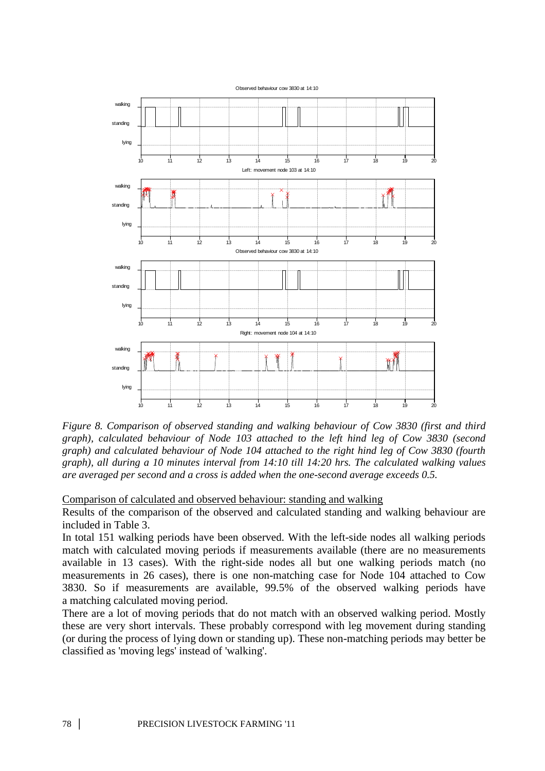

*Figure 8. Comparison of observed standing and walking behaviour of Cow 3830 (first and third graph), calculated behaviour of Node 103 attached to the left hind leg of Cow 3830 (second graph) and calculated behaviour of Node 104 attached to the right hind leg of Cow 3830 (fourth graph), all during a 10 minutes interval from 14:10 till 14:20 hrs. The calculated walking values are averaged per second and a cross is added when the one-second average exceeds 0.5.* 

Comparison of calculated and observed behaviour: standing and walking

Results of the comparison of the observed and calculated standing and walking behaviour are included in Table 3.

In total 151 walking periods have been observed. With the left-side nodes all walking periods match with calculated moving periods if measurements available (there are no measurements available in 13 cases). With the right-side nodes all but one walking periods match (no measurements in 26 cases), there is one non-matching case for Node 104 attached to Cow 3830. So if measurements are available, 99.5% of the observed walking periods have a matching calculated moving period.

There are a lot of moving periods that do not match with an observed walking period. Mostly these are very short intervals. These probably correspond with leg movement during standing (or during the process of lying down or standing up). These non-matching periods may better be classified as 'moving legs' instead of 'walking'.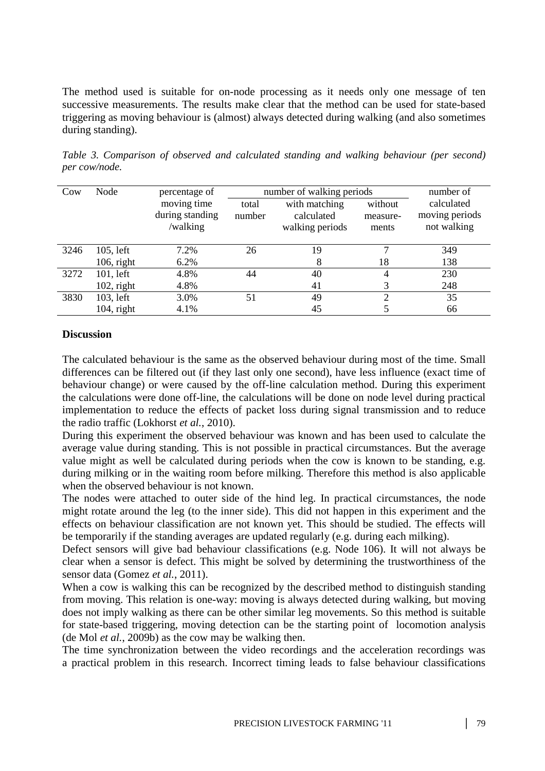The method used is suitable for on-node processing as it needs only one message of ten successive measurements. The results make clear that the method can be used for state-based triggering as moving behaviour is (almost) always detected during walking (and also sometimes during standing).

| Cow  | Node          | percentage of   |        | number of walking periods | number of |                |
|------|---------------|-----------------|--------|---------------------------|-----------|----------------|
|      |               | moving time     | total  | with matching             | without   | calculated     |
|      |               | during standing | number | calculated                | measure-  | moving periods |
|      |               | /walking        |        | walking periods           | ments     | not walking    |
|      |               |                 |        |                           |           |                |
| 3246 | $105$ , left  | 7.2%            | 26     | 19                        | ⇁         | 349            |
|      | $106$ , right | 6.2%            |        | 8                         | 18        | 138            |
| 3272 | $101$ , left  | 4.8%            | 44     | 40                        | 4         | 230            |
|      | $102$ , right | 4.8%            |        | 41                        | 3         | 248            |
| 3830 | 103, left     | 3.0%            | 51     | 49                        | 2         | 35             |
|      | $104$ , right | 4.1%            |        | 45                        |           | 66             |

*Table 3. Comparison of observed and calculated standing and walking behaviour (per second) per cow/node.* 

# **Discussion**

The calculated behaviour is the same as the observed behaviour during most of the time. Small differences can be filtered out (if they last only one second), have less influence (exact time of behaviour change) or were caused by the off-line calculation method. During this experiment the calculations were done off-line, the calculations will be done on node level during practical implementation to reduce the effects of packet loss during signal transmission and to reduce the radio traffic (Lokhorst *et al.*, 2010).

During this experiment the observed behaviour was known and has been used to calculate the average value during standing. This is not possible in practical circumstances. But the average value might as well be calculated during periods when the cow is known to be standing, e.g. during milking or in the waiting room before milking. Therefore this method is also applicable when the observed behaviour is not known.

The nodes were attached to outer side of the hind leg. In practical circumstances, the node might rotate around the leg (to the inner side). This did not happen in this experiment and the effects on behaviour classification are not known yet. This should be studied. The effects will be temporarily if the standing averages are updated regularly (e.g. during each milking).

Defect sensors will give bad behaviour classifications (e.g. Node 106). It will not always be clear when a sensor is defect. This might be solved by determining the trustworthiness of the sensor data (Gomez *et al.*, 2011).

When a cow is walking this can be recognized by the described method to distinguish standing from moving. This relation is one-way: moving is always detected during walking, but moving does not imply walking as there can be other similar leg movements. So this method is suitable for state-based triggering, moving detection can be the starting point of locomotion analysis (de Mol *et al.*, 2009b) as the cow may be walking then.

The time synchronization between the video recordings and the acceleration recordings was a practical problem in this research. Incorrect timing leads to false behaviour classifications